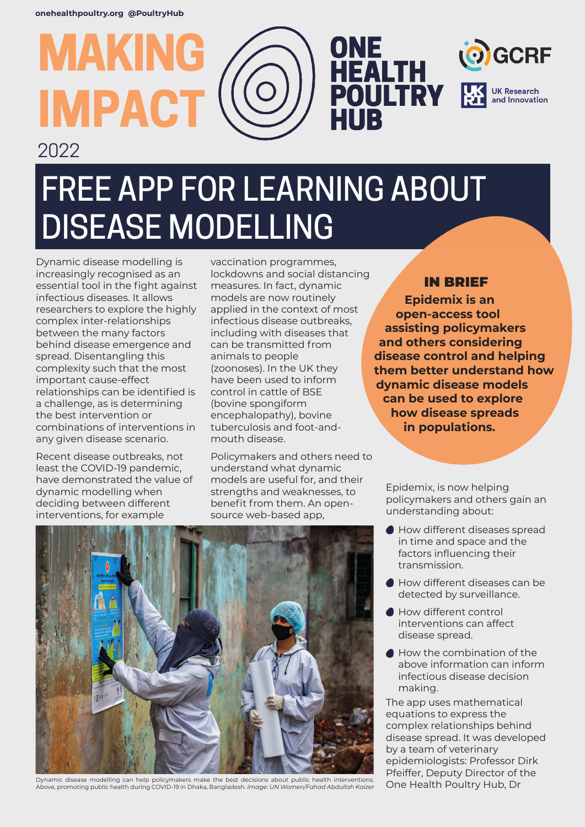**MAKING**

**IMPACT**

2022

# FREE APP FOR LEARNING ABOUT DISEASE MODELLING

Dynamic disease modelling is increasingly recognised as an essential tool in the fight against infectious diseases. It allows researchers to explore the highly complex inter-relationships between the many factors behind disease emergence and spread. Disentangling this complexity such that the most important cause-effect relationships can be identified is a challenge, as is determining the best intervention or combinations of interventions in any given disease scenario.

Recent disease outbreaks, not least the COVID-19 pandemic, have demonstrated the value of dynamic modelling when deciding between different interventions, for example

vaccination programmes, lockdowns and social distancing measures. In fact, dynamic models are now routinely applied in the context of most infectious disease outbreaks, including with diseases that can be transmitted from animals to people (zoonoses). In the UK they have been used to inform control in cattle of BSE (bovine spongiform encephalopathy), bovine tuberculosis and foot-andmouth disease.

Policymakers and others need to understand what dynamic models are useful for, and their strengths and weaknesses, to benefit from them. An opensource web-based app,

### IN BRIEF

**GCRF** 

**UK Research** and Innovation

ONE<br>HEALTH<br>POULTRY

HUB

**Epidemix is an open-access tool assisting policymakers and others considering disease control and helping them better understand how dynamic disease models can be used to explore how disease spreads in populations.** 

Epidemix, is now helping policymakers and others gain an understanding about:

- Ó How different diseases spread in time and space and the factors influencing their transmission.
- How different diseases can be detected by surveillance.
- How different control interventions can affect disease spread.
- How the combination of the above information can inform infectious disease decision making.

The app uses mathematical equations to express the complex relationships behind disease spread. It was developed by a team of veterinary epidemiologists: Professor Dirk Pfeiffer, Deputy Director of the One Health Poultry Hub, Dr



Dynamic disease modelling can help policymakers make the best decisions about public health interventions. Above, promoting public health during COVID-19 in Dhaka, Bangladesh. *Image: UN Women/Fahad Abdullah Kaizer*